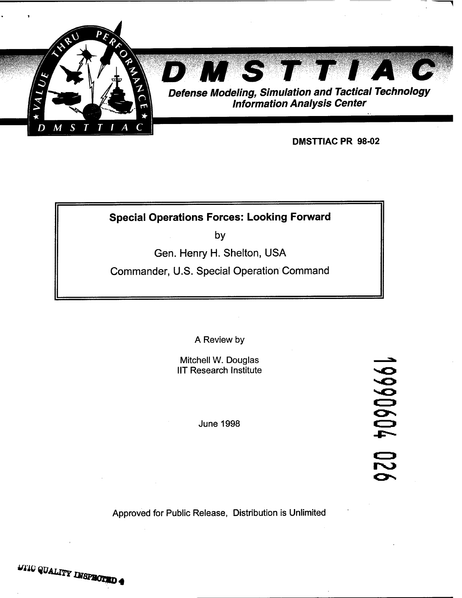

# **Special Operations Forces: Looking Forward**

**by** 

Gen. Henry H. Shelton, USA

Commander, U.S. Special Operation Command

A Review by

Mitchell W. Douglas IIT Research Institute

June 1998

19990604 0

Approved for Public Release, Distribution is Unlimited

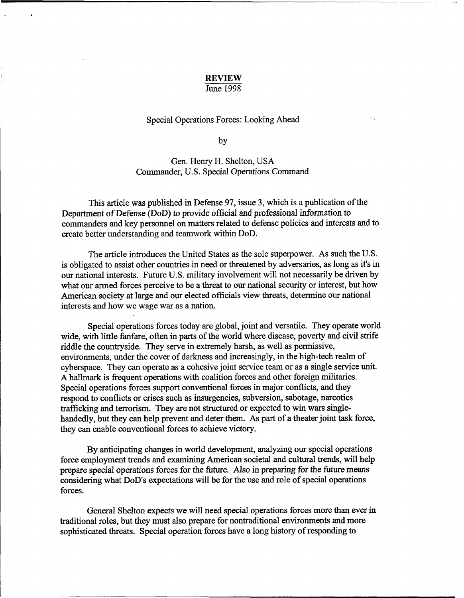## REVIEW

#### June 1998

#### Special Operations Forces: Looking Ahead

by

### Gen. Henry H. Shelton, USA Commander, U.S. Special Operations Command

This article was published in Defense 97, issue 3, which is a publication of the Department of Defense (DoD) to provide official and professional information to commanders and key personnel on matters related to defense policies and interests and to create better understanding and teamwork within DoD.

The article introduces the United States as the sole superpower. As such the U.S. is obligated to assist other countries in need or threatened by adversaries, as long as it's in our national interests. Future U.S. military involvement will not necessarily be driven by what our armed forces perceive to be a threat to our national security or interest, but how American society at large and our elected officials view threats, determine our national interests and how we wage war as a nation.

Special operations forces today are global, joint and versatile. They operate world wide, with little fanfare, often in parts of the world where disease, poverty and civil strife riddle the countryside. They serve in extremely harsh, **as** well as permissive, environments, under the cover of darkness and increasingly, in the high-tech realm of cyberspace. They can operate as a cohesive joint service team or as a single service unit. **A** hallmark is fiequent operations with coalition forces and other foreign militaries. Special operations forces support conventional forces in major conflicts, and they respond to conflicts or crises such **as** insurgencies, subversion, sabotage, narcotics trafficking and terrorism. They are not structured or expected to win wars singlehandedly, but they can help prevent and deter them. As part of a theater joint task force, they can enable conventional forces to achieve victory.

By anticipating changes in world development, analyzing our special operations force employment trends and examining American societal and cultural trends, will help prepare special operations forces for the future. Also in preparing for the future means considering what DoD's expectations will be for the use and role of special operations forces.

General Shelton expects we will need special operations forces more than ever in traditional roles, but they must also prepare for nontraditional environments and more sophisticated threats. Special operation forces have a long history of responding to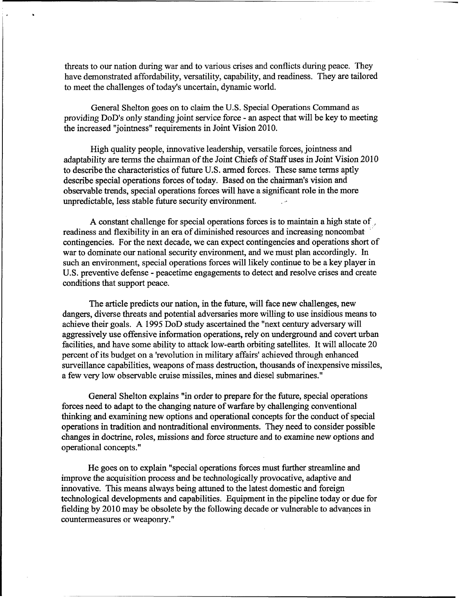threats to our nation during war and to various crises and conflicts during peace. They have demonstrated affordability, versatility, capability, and readiness. They are tailored to meet the challenges of today's uncertain, dynamic world.

General Shelton goes on to claim the U.S. Special Operations Command as providing DoD's only standing joint service force - an aspect that will be key to meeting the increased "jointness" requirements in Joint Vision 2010.

High quality people, innovative leadership, versatile forces, jointness and adaptability are terms the chairman of the Joint Chiefs of Staff uses in Joint Vision 2010 to describe the characteristics of future U.S. armed forces. These same terms aptly describe special operations forces of today. Based on the chairman's vision and observable trends, special operations forces will have a significant role in the more unpredictable, less stable future security environment. i.

**A** constant challenge for special operations forces is to maintain a high state of ,\* readiness and flexibility in an era of diminished resources and increasing noncombat ' contingencies. For the next decade, we can expect contingencies and operations short of war to dominate our national security environment, and we must plan accordingly. In such an environment, special operations forces will likely continue to be a key player in U.S. preventive defense - peacetime engagements to detect and resolve crises and create conditions that support peace.

The article predicts our nation, in the future, will face new challenges, new dangers, diverse threats and potential adversaries more willing to use insidious means to achieve their goals. **A** 1995 DoD study ascertained the "next century adversary will aggressively use offensive information operations, rely on underground and covert urban facilities, and have some ability to attack low-earth orbiting satellites. It will allocate 20 percent of its budget on a 'revolution in military affairs' achieved through enhanced surveillance capabilities, weapons of mass destruction, thousands of inexpensive missiles, a few very low observable cruise missiles, mines and diesel submarines."

General Shelton explains "in order to prepare for the future, special operations forces need to adapt to the changing nature of warfare by challenging conventional thinking and examining new options and operational concepts for the conduct of special operations in tradition and nontraditional environments. They need to consider possible changes in doctrine, roles, missions and force structure and to examine new options and operational concepts. "

He goes on to explain "special operations forces must further streamline and improve the acquisition process and be technologically provocative, adaptive and innovative. This means always being attuned to the latest domestic and foreign technological developments and capabilities. Equipment in the pipeline today or due for fielding by 2010 may be obsolete by the following decade or vulnerable to advances in countermeasures or weaponry. "